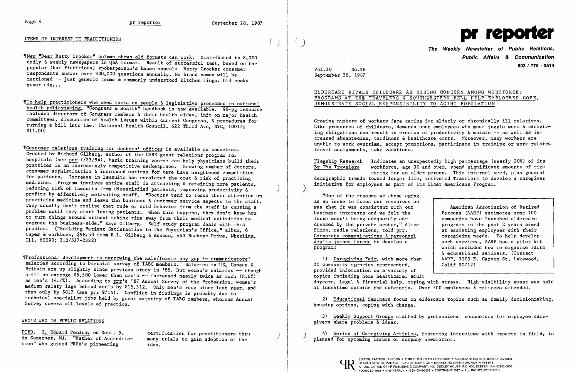'fNew "Dear Betty Crocker" column shows old formats can work. Distributed to 8.000 daily & weekly newspapers in Q&A format. Result of successful test. based on the popular (but fictitious) spokesperson's known appeal: Betty Crocker consumer respondants answer over 300.000 questions annually. No brand names will be mentioned -- just generic terms & commonly understood kitchen lingo. Old cooks never die...

ITEMS OF INTEREST TO PRACTITIONERS

ITo help practitioners who need facts on people & legislative processes in national health policymaking, "Congress & Health" handbook is now available. 96-pg resource includes directory of Congress members & their health aides. info on major health committees, discussion of health issues within current Congress, & procedures for turning a bill into law. (National Health Council, 622 Third Ave, NYC, 10017; \$11.00)

"Customer relations training for doctors' offices is available on cassettes. Created by Richard Gilberg. author of the CARE guest relations program for hospitals (see prr 7/23/84), basic training course can help physicians build their practices in an increasingly competitive marketplace. Growing number of doctors, consumer sophistication & increased options for care have heightened competition for patients. Increase in lawsuits has escalated the cost & risk of practicing medicine. Program involves entire staff in attracting & retaining more patients. reducing risk of lawsuits from dissatisfied patients. improving productivity & profits by effectively motivating staff. "Doctors tend to focus their attention on practicing medicine and leave the business & customer service aspects to the staff. They usually don't realize that rude or cold behavior from the staff is causing a problem until they start losing patients. When this happens, they don't know how to turn things around without taking time away from their medical activities to oversee the business-side." says Gilberg. Self-study program deals with this problem. ("Building Patient Satisfaction In The Physician's Office." album. 6 tapes & workbook, \$98.50 from R.L. Gilberg & Assocs, 463 Buckeye Drive, Wheeling, Ill. 60090; 312/537-2322)

"One of the reasons we chose aging as an issue to focus our resources on was that it was consistent with our business interests and we felt the issue wasn't being adequately ad-<br>dressed by the private sector." Alice | programs in the past 2 years aimed dressed by the private sector," Alice Simon, media relations, told prr. Corporate communications  $\&$  personnel dep'ts joined forces to develop a dep'ts joined forces to develop a<br>program: such services, AARP has a pilot kit<br>which includes how to organize fairs

,fProfessiona1 development is narrowing the male/female pay gap in communicators' salaries according to biennial survey of IABC members. Salaries in US, Canada & Britain are up slightly since previous study in '85. But women's salaries -- though still on average  $$5,500$  lower than men's  $-$  increased nearly twice as much  $(8.6\%)$ as men's  $(4.7\%)$ . According to  $prr's$  '87 Annual Survey of the Profession, women's median salary lags behind men's by \$15,312. Only men's rose since last year, and then only by \$812 (see prr 9/14). Conflict in findings is probably due to technical specialist jobs held by great majority of IABC members. whereas Annual Survey covers all levels of practice.

1) Caregiving Fair, with more than | AARP, 3200 E<br>community agencies represented. | Calif 90712) 20 community agencies represented. provided information on a variety of topics including home hea1thcare, adult daycare, legal & financial help. coping with stress. High-visibility event was held at lunchtime outside the cafeteria. Over 700 employees & retirees attended.

## WHO'S WHO IN PUBLIC RELATIONS

DIED. G. Edward Pendray on Sept. 5, certification for practitioners thru<br>in Somerset, NJ. "Father of Accredita- many trials to gain adoption of the in Somerset, NJ. "Father of Accredita- many tion" who guided PRSA's pioneering idea. tion" who guided PRSA's pioneering

 $\begin{matrix} \end{matrix}$ 



**The Weekly Newsletter of Public Relations, Public Affairs & Communication 603 / 778 - 0514** 

> American Association of Retired<br>Persons (AARP) estimates some 100 at assisting employees with their<br>caregiving needs. To help develop which includes how to organize fairs & educational seminars. (Contact<br>AARP, 3200 E. Carson St. Lakewood,

Vo1.30 No.38 September 28. 1987

ELDERCARE RIVALS CHILDCARE AS RISING CONCERN AMONG WORKFORCE; PROGRAMS AT THE TRAVELERS & SOUTHWESTERN BELL HELP EMPLOYEES COPE. DEMONSTRATE SOCIAL RESPONSIBILITY TO AGING POPULATION

Growing numbers of workers face caring for elderly or chronically ill relatives. Like pressures of childcare, demands upon employees who must juggle work  $\&$  caregiving obligations can result in erosion of productivity & morale  $-$  as well as increased absenteeism, tardiness & healthcare costs. Moreover, many workers are unable to work overtime. accept promotions. participate in training or work-related travel assignments. take vacations.

Flagship Research Indicates an unexpectedly high percentage (nearly 20%) of its<br>By The Travelers vorkforce, age 30 and over, spend significant amounts of time workforce, age 30 and over, spend significant amounts of time caring for an older person. This internal need. plus general demographic trends toward longer life. motivated Travelers to develop a caregiver initiative for employees as part of its Older Americans Program.

2) Educational Seminars focus on e1dercare topics such as family decisionmaking. housing options. coping with change.

3) Weekly Support Groups staffed by professional counselors let employee caregivers share problems & ideas.

4) Series of Caregiving Articles, featuring interviews with experts in field, is planned for upcoming issues of company newsletter.



READER SERVICE MANAGER, LAURIE ELDRIDGE . MARKETING DIRECTOR, ROBIN PETERS